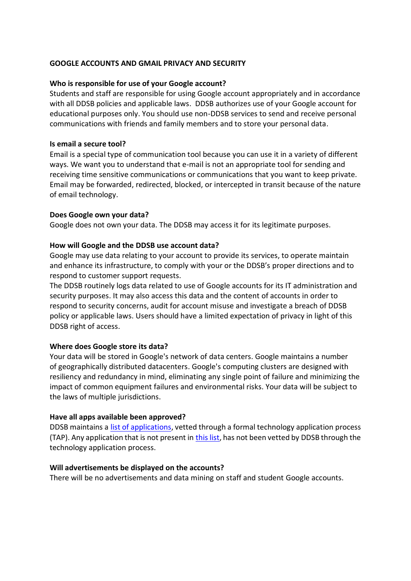### **GOOGLE ACCOUNTS AND GMAIL PRIVACY AND SECURITY**

### **Who is responsible for use of your Google account?**

Students and staff are responsible for using Google account appropriately and in accordance with all DDSB policies and applicable laws. DDSB authorizes use of your Google account for educational purposes only. You should use non-DDSB services to send and receive personal communications with friends and family members and to store your personal data.

### **Is email a secure tool?**

Email is a special type of communication tool because you can use it in a variety of different ways. We want you to understand that e-mail is not an appropriate tool for sending and receiving time sensitive communications or communications that you want to keep private. Email may be forwarded, redirected, blocked, or intercepted in transit because of the nature of email technology.

## **Does Google own your data?**

Google does not own your data. The DDSB may access it for its legitimate purposes.

## **How will Google and the DDSB use account data?**

Google may use data relating to your account to provide its services, to operate maintain and enhance its infrastructure, to comply with your or the DDSB's proper directions and to respond to customer support requests.

The DDSB routinely logs data related to use of Google accounts for its IT administration and security purposes. It may also access this data and the content of accounts in order to respond to security concerns, audit for account misuse and investigate a breach of DDSB policy or applicable laws. Users should have a limited expectation of privacy in light of this DDSB right of access.

# **Where does Google store its data?**

Your data will be stored in Google's network of data centers. Google maintains a number of geographically distributed datacenters. Google's computing clusters are designed with resiliency and redundancy in mind, eliminating any single point of failure and minimizing the impact of common equipment failures and environmental risks. Your data will be subject to the laws of multiple jurisdictions.

# **Have all apps available been approved?**

DDSB maintains a [list of applications,](https://www.ddsb.ca/en/resourcesGeneral/Documents/approvedsoftware.pdf) vetted through a formal technology application process (TAP). Any application that is not present in [this list,](https://www.ddsb.ca/en/resourcesGeneral/Documents/approvedsoftware.pdf) has not been vetted by DDSB through the technology application process.

### **Will advertisements be displayed on the accounts?**

There will be no advertisements and data mining on staff and student Google accounts.